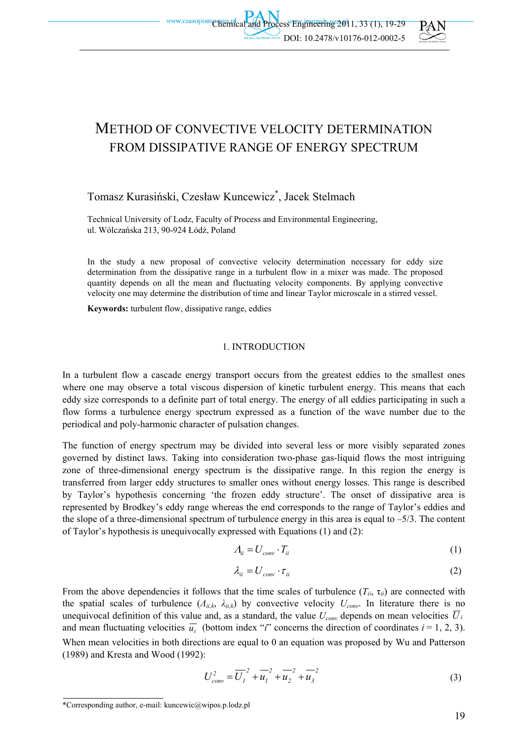



# METHOD OF CONVECTIVE VELOCITY DETERMINATION FROM DISSIPATIVE RANGE OF ENERGY SPECTRUM

# Tomasz Kurasiński, Czesław Kuncewicz\* , Jacek Stelmach

Technical University of Lodz, Faculty of Process and Environmental Engineering, ul. Wólczańska 213, 90-924 Łódź, Poland

In the study a new proposal of convective velocity determination necessary for eddy size determination from the dissipative range in a turbulent flow in a mixer was made. The proposed quantity depends on all the mean and fluctuating velocity components. By applying convective velocity one may determine the distribution of time and linear Taylor microscale in a stirred vessel.

**Keywords:** turbulent flow, dissipative range, eddies

#### 1. INTRODUCTION

In a turbulent flow a cascade energy transport occurs from the greatest eddies to the smallest ones where one may observe a total viscous dispersion of kinetic turbulent energy. This means that each eddy size corresponds to a definite part of total energy. The energy of all eddies participating in such a flow forms a turbulence energy spectrum expressed as a function of the wave number due to the periodical and poly-harmonic character of pulsation changes.

The function of energy spectrum may be divided into several less or more visibly separated zones governed by distinct laws. Taking into consideration two-phase gas-liquid flows the most intriguing zone of three-dimensional energy spectrum is the dissipative range. In this region the energy is transferred from larger eddy structures to smaller ones without energy losses. This range is described by Taylor's hypothesis concerning 'the frozen eddy structure'. The onset of dissipative area is represented by Brodkey's eddy range whereas the end corresponds to the range of Taylor's eddies and the slope of a three-dimensional spectrum of turbulence energy in this area is equal to  $-5/3$ . The content of Taylor's hypothesis is unequivocally expressed with Equations (1) and (2):

$$
A_{ii} = U_{conv} \cdot T_{ii} \tag{1}
$$

$$
\lambda_{ii} = U_{conv} \cdot \tau_{ii} \tag{2}
$$

From the above dependencies it follows that the time scales of turbulence  $(T_{ii}, \tau_{ii})$  are connected with the spatial scales of turbulence  $(A_{ii,k}, \lambda_{ii,k})$  by convective velocity  $U_{conv}$ . In literature there is no unequivocal definition of this value and, as a standard, the value  $U_{conv}$  depends on mean velocities  $\overline{U}_i$ and mean fluctuating velocities  $\overline{u_i}$  (bottom index "*i*" concerns the direction of coordinates  $i = 1, 2, 3$ ). When mean velocities in both directions are equal to 0 an equation was proposed by Wu and Patterson (1989) and Kresta and Wood (1992):

$$
U_{conv}^{2} = \overline{U_{1}}^{2} + \overline{u_{1}}^{2} + \overline{u_{2}}^{2} + \overline{u_{3}}^{2}
$$
 (3)

<sup>\*</sup>Corresponding author, e-mail: kuncewic@wipos.p.lodz.pl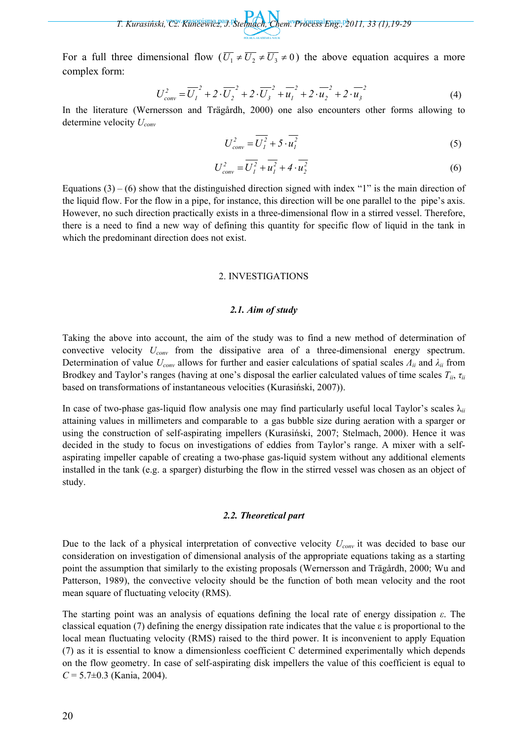*T. Kurasiński, Cz. Kuncewicz, J. Stelmach, Chem. Process Eng., 2011, 33 (1),19-29* 

For a full three dimensional flow  $(\overline{U_1} \neq \overline{U_2} \neq \overline{U_3} \neq 0)$  the above equation acquires a more complex form:

$$
U_{conv}^{2} = \overline{U_{1}}^{2} + 2 \cdot \overline{U_{2}}^{2} + 2 \cdot \overline{U_{3}}^{2} + \overline{u_{1}}^{2} + 2 \cdot \overline{u_{2}}^{2} + 2 \cdot \overline{u_{3}}^{2}
$$
 (4)

In the literature (Wernersson and Trägårdh, 2000) one also encounters other forms allowing to determine velocity *Uconv*

$$
U_{conv}^2 = \overline{U_I^2} + 5 \cdot \overline{u_I^2}
$$
 (5)

$$
U_{conv}^{2} = \overline{U_{I}^{2}} + \overline{u_{I}^{2}} + 4 \cdot \overline{u_{2}^{2}}
$$
 (6)

Equations  $(3) - (6)$  show that the distinguished direction signed with index "1" is the main direction of the liquid flow. For the flow in a pipe, for instance, this direction will be one parallel to the pipe's axis. However, no such direction practically exists in a three-dimensional flow in a stirred vessel. Therefore, there is a need to find a new way of defining this quantity for specific flow of liquid in the tank in which the predominant direction does not exist.

#### 2. INVESTIGATIONS

#### *2.1. Aim of study*

Taking the above into account, the aim of the study was to find a new method of determination of convective velocity *Uconv* from the dissipative area of a three-dimensional energy spectrum. Determination of value *Uconv* allows for further and easier calculations of spatial scales *Λii* and *λii* from Brodkey and Taylor's ranges (having at one's disposal the earlier calculated values of time scales *Tii*, *τii* based on transformations of instantaneous velocities (Kurasiński, 2007)).

In case of two-phase gas-liquid flow analysis one may find particularly useful local Taylor's scales  $\lambda_{ii}$ attaining values in millimeters and comparable to a gas bubble size during aeration with a sparger or using the construction of self-aspirating impellers (Kurasiński, 2007; Stelmach, 2000). Hence it was decided in the study to focus on investigations of eddies from Taylor's range. A mixer with a selfaspirating impeller capable of creating a two-phase gas-liquid system without any additional elements installed in the tank (e.g. a sparger) disturbing the flow in the stirred vessel was chosen as an object of study.

#### *2.2. Theoretical part*

Due to the lack of a physical interpretation of convective velocity  $U_{conv}$  it was decided to base our consideration on investigation of dimensional analysis of the appropriate equations taking as a starting point the assumption that similarly to the existing proposals (Wernersson and Trägårdh, 2000; Wu and Patterson, 1989), the convective velocity should be the function of both mean velocity and the root mean square of fluctuating velocity (RMS).

The starting point was an analysis of equations defining the local rate of energy dissipation *ε*. The classical equation (7) defining the energy dissipation rate indicates that the value  $\varepsilon$  is proportional to the local mean fluctuating velocity (RMS) raised to the third power. It is inconvenient to apply Equation (7) as it is essential to know a dimensionless coefficient C determined experimentally which depends on the flow geometry. In case of self-aspirating disk impellers the value of this coefficient is equal to *C* = 5.7±0.3 (Kania, 2004).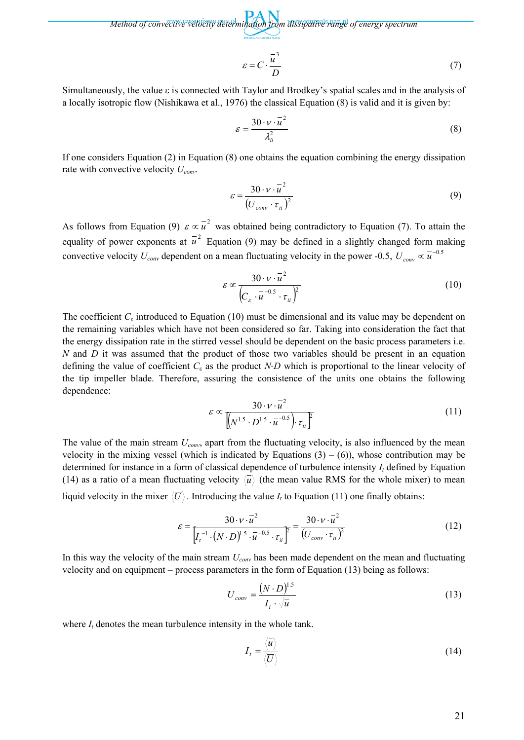*Method of convective velocity determination from dissipative range of energy spectrum* 

$$
\varepsilon = C \cdot \frac{\overline{u}^3}{D} \tag{7}
$$

Simultaneously, the value ε is connected with Taylor and Brodkey's spatial scales and in the analysis of a locally isotropic flow (Nishikawa et al., 1976) the classical Equation (8) is valid and it is given by:

$$
\varepsilon = \frac{30 \cdot v \cdot \bar{u}^2}{\lambda_{ii}^2} \tag{8}
$$

If one considers Equation (2) in Equation (8) one obtains the equation combining the energy dissipation rate with convective velocity  $U_{conv}$ .

$$
\varepsilon = \frac{30 \cdot v \cdot \bar{u}^2}{\left(U_{conv} \cdot \tau_{ii}\right)^2} \tag{9}
$$

As follows from Equation (9)  $\varepsilon \propto u^2$  was obtained being contradictory to Equation (7). To attain the equality of power exponents at  $\overline{u}^2$  Equation (9) may be defined in a slightly changed form making convective velocity  $U_{conv}$  dependent on a mean fluctuating velocity in the power -0.5,  $U_{conv} \propto \overline{u}^{-0.5}$ 

$$
\varepsilon \propto \frac{30 \cdot v \cdot \bar{u}^2}{\left(C_{\varepsilon} \cdot \bar{u}^{-0.5} \cdot \tau_{ii}\right)^2}
$$
 (10)

The coefficient  $C_{\varepsilon}$  introduced to Equation (10) must be dimensional and its value may be dependent on the remaining variables which have not been considered so far. Taking into consideration the fact that the energy dissipation rate in the stirred vessel should be dependent on the basic process parameters i.e. *N* and *D* it was assumed that the product of those two variables should be present in an equation defining the value of coefficient  $C_{\varepsilon}$  as the product *N* $\cdot$ *D* which is proportional to the linear velocity of the tip impeller blade. Therefore, assuring the consistence of the units one obtains the following dependence:

$$
\varepsilon \propto \frac{30 \cdot v \cdot \bar{u}^2}{\left[ \left( N^{1.5} \cdot D^{1.5} \cdot \bar{u}^{-0.5} \right) \cdot \tau_{ii} \right]^2}
$$
 (11)

The value of the main stream *Uconv*, apart from the fluctuating velocity, is also influenced by the mean velocity in the mixing vessel (which is indicated by Equations  $(3) - (6)$ ), whose contribution may be determined for instance in a form of classical dependence of turbulence intensity  $I_t$  defined by Equation (14) as a ratio of a mean fluctuating velocity  $\langle \overline{u} \rangle$  (the mean value RMS for the whole mixer) to mean liquid velocity in the mixer  $\langle \overline{U} \rangle$ . Introducing the value  $I_t$  to Equation (11) one finally obtains:

$$
\varepsilon = \frac{30 \cdot \nu \cdot \overline{u}^2}{\left[I_t^{-1} \cdot (N \cdot D)\right]^{1.5} \cdot \overline{u}^{-0.5} \cdot \overline{\tau}_{ii}\right]^2} = \frac{30 \cdot \nu \cdot \overline{u}^2}{\left(U_{conv} \cdot \overline{\tau}_{ii}\right)^2}
$$
(12)

In this way the velocity of the main stream *Uconv* has been made dependent on the mean and fluctuating velocity and on equipment – process parameters in the form of Equation (13) being as follows:

$$
U_{conv} = \frac{(N \cdot D)^{1.5}}{I_t \cdot \sqrt{\overline{u}}}
$$
 (13)

where  $I_t$  denotes the mean turbulence intensity in the whole tank.

$$
I_t = \frac{\langle \overline{u} \rangle}{\langle \overline{U} \rangle} \tag{14}
$$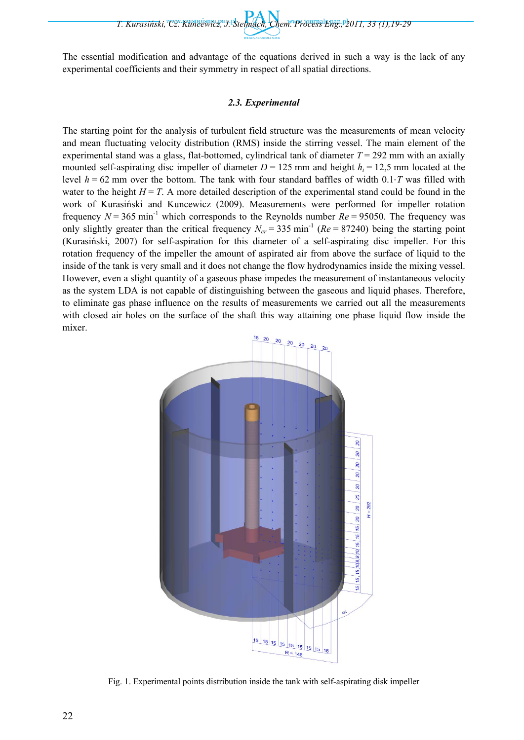*T. Kurasiński, Cz. Kuncewicz, J. Stelmach, Chem. Process Eng., 2011, 33 (1),19-29* 

The essential modification and advantage of the equations derived in such a way is the lack of any experimental coefficients and their symmetry in respect of all spatial directions.

# *2.3. Experimental*

The starting point for the analysis of turbulent field structure was the measurements of mean velocity and mean fluctuating velocity distribution (RMS) inside the stirring vessel. The main element of the experimental stand was a glass, flat-bottomed, cylindrical tank of diameter  $T = 292$  mm with an axially mounted self-aspirating disc impeller of diameter  $D = 125$  mm and height  $h<sub>i</sub> = 12,5$  mm located at the level  $h = 62$  mm over the bottom. The tank with four standard baffles of width  $0.1 \cdot T$  was filled with water to the height  $H = T$ . A more detailed description of the experimental stand could be found in the work of Kurasiński and Kuncewicz (2009). Measurements were performed for impeller rotation frequency  $N = 365$  min<sup>-1</sup> which corresponds to the Reynolds number  $Re = 95050$ . The frequency was only slightly greater than the critical frequency  $N_{cr}$  = 335 min<sup>-1</sup> ( $Re$  = 87240) being the starting point (Kurasiński, 2007) for self-aspiration for this diameter of a self-aspirating disc impeller. For this rotation frequency of the impeller the amount of aspirated air from above the surface of liquid to the inside of the tank is very small and it does not change the flow hydrodynamics inside the mixing vessel. However, even a slight quantity of a gaseous phase impedes the measurement of instantaneous velocity as the system LDA is not capable of distinguishing between the gaseous and liquid phases. Therefore, to eliminate gas phase influence on the results of measurements we carried out all the measurements with closed air holes on the surface of the shaft this way attaining one phase liquid flow inside the mixer.



Fig. 1. Experimental points distribution inside the tank with self-aspirating disk impeller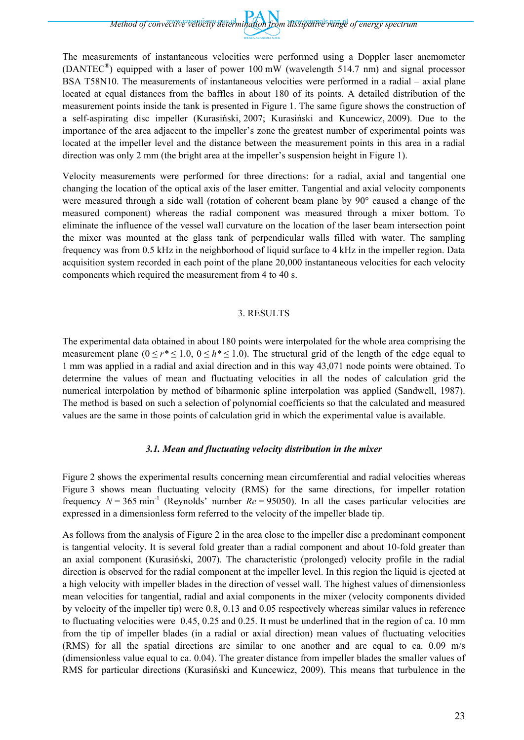*Method of convective velocity determination from dissipative range of energy spectrum* 

The measurements of instantaneous velocities were performed using a Doppler laser anemometer (DANTEC®) equipped with a laser of power 100 mW (wavelength 514.7 nm) and signal processor BSA T58N10. The measurements of instantaneous velocities were performed in a radial – axial plane located at equal distances from the baffles in about 180 of its points. A detailed distribution of the measurement points inside the tank is presented in Figure 1. The same figure shows the construction of a self-aspirating disc impeller (Kurasiński, 2007; Kurasiński and Kuncewicz, 2009). Due to the importance of the area adjacent to the impeller's zone the greatest number of experimental points was located at the impeller level and the distance between the measurement points in this area in a radial direction was only 2 mm (the bright area at the impeller's suspension height in Figure 1).

Velocity measurements were performed for three directions: for a radial, axial and tangential one changing the location of the optical axis of the laser emitter. Tangential and axial velocity components were measured through a side wall (rotation of coherent beam plane by 90° caused a change of the measured component) whereas the radial component was measured through a mixer bottom. To eliminate the influence of the vessel wall curvature on the location of the laser beam intersection point the mixer was mounted at the glass tank of perpendicular walls filled with water. The sampling frequency was from 0.5 kHz in the neighborhood of liquid surface to 4 kHz in the impeller region. Data acquisition system recorded in each point of the plane 20,000 instantaneous velocities for each velocity components which required the measurement from 4 to 40 s.

#### 3. RESULTS

The experimental data obtained in about 180 points were interpolated for the whole area comprising the measurement plane  $(0 \le r^* \le 1.0, 0 \le h^* \le 1.0)$ . The structural grid of the length of the edge equal to 1 mm was applied in a radial and axial direction and in this way 43,071 node points were obtained. To determine the values of mean and fluctuating velocities in all the nodes of calculation grid the numerical interpolation by method of biharmonic spline interpolation was applied (Sandwell, 1987). The method is based on such a selection of polynomial coefficients so that the calculated and measured values are the same in those points of calculation grid in which the experimental value is available.

## *3.1. Mean and fluctuating velocity distribution in the mixer*

Figure 2 shows the experimental results concerning mean circumferential and radial velocities whereas Figure 3 shows mean fluctuating velocity (RMS) for the same directions, for impeller rotation frequency  $N = 365$  min<sup>-1</sup> (Reynolds' number  $Re = 95050$ ). In all the cases particular velocities are expressed in a dimensionless form referred to the velocity of the impeller blade tip.

As follows from the analysis of Figure 2 in the area close to the impeller disc a predominant component is tangential velocity. It is several fold greater than a radial component and about 10-fold greater than an axial component (Kurasiński, 2007). The characteristic (prolonged) velocity profile in the radial direction is observed for the radial component at the impeller level. In this region the liquid is ejected at a high velocity with impeller blades in the direction of vessel wall. The highest values of dimensionless mean velocities for tangential, radial and axial components in the mixer (velocity components divided by velocity of the impeller tip) were 0.8, 0.13 and 0.05 respectively whereas similar values in reference to fluctuating velocities were 0.45, 0.25 and 0.25. It must be underlined that in the region of ca. 10 mm from the tip of impeller blades (in a radial or axial direction) mean values of fluctuating velocities (RMS) for all the spatial directions are similar to one another and are equal to ca. 0.09 m/s (dimensionless value equal to ca. 0.04). The greater distance from impeller blades the smaller values of RMS for particular directions (Kurasiński and Kuncewicz, 2009). This means that turbulence in the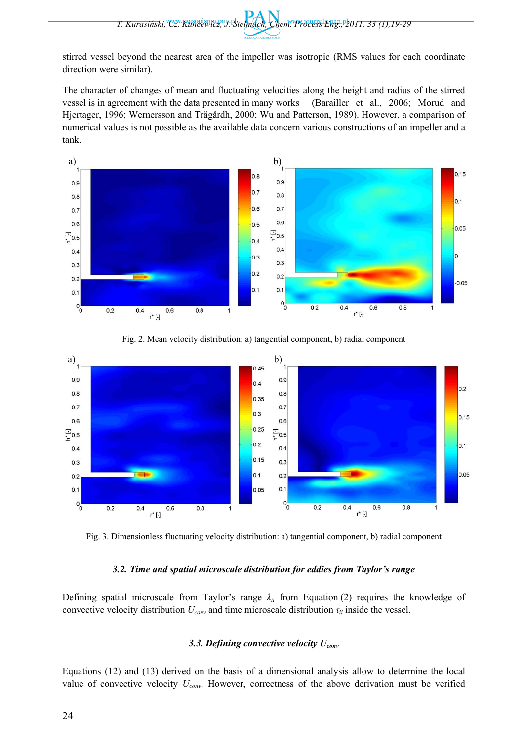stirred vessel beyond the nearest area of the impeller was isotropic (RMS values for each coordinate direction were similar).

The character of changes of mean and fluctuating velocities along the height and radius of the stirred vessel is in agreement with the data presented in many works (Barailler et al., 2006; Morud and Hjertager, 1996; Wernersson and Trägårdh, 2000; Wu and Patterson, 1989). However, a comparison of numerical values is not possible as the available data concern various constructions of an impeller and a tank.



Fig. 2. Mean velocity distribution: a) tangential component, b) radial component



Fig. 3. Dimensionless fluctuating velocity distribution: a) tangential component, b) radial component

## *3.2. Time and spatial microscale distribution for eddies from Taylor's range*

Defining spatial microscale from Taylor's range  $\lambda_{ii}$  from Equation (2) requires the knowledge of convective velocity distribution  $U_{conv}$  and time microscale distribution  $\tau_{ii}$  inside the vessel.

# *3.3. Defining convective velocity Uconv*

Equations (12) and (13) derived on the basis of a dimensional analysis allow to determine the local value of convective velocity *Uconv*. However, correctness of the above derivation must be verified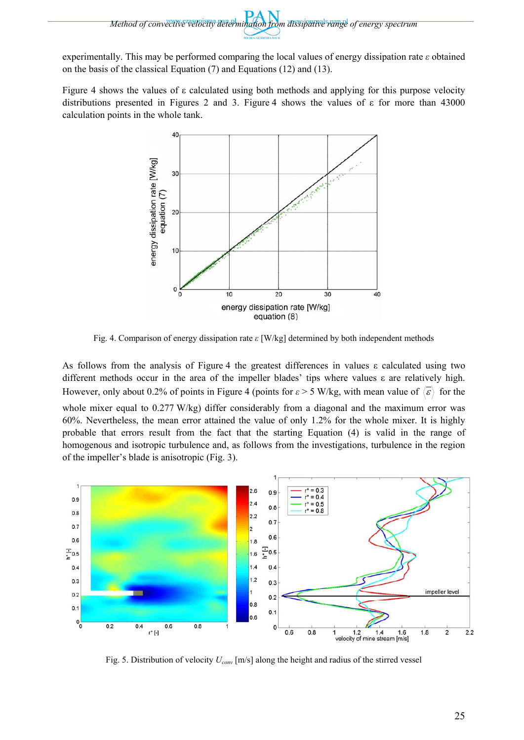experimentally. This may be performed comparing the local values of energy dissipation rate *ε* obtained on the basis of the classical Equation (7) and Equations (12) and (13).

Figure 4 shows the values of ε calculated using both methods and applying for this purpose velocity distributions presented in Figures 2 and 3. Figure 4 shows the values of  $\epsilon$  for more than 43000 calculation points in the whole tank.



Fig. 4. Comparison of energy dissipation rate *ε* [W/kg] determined by both independent methods

As follows from the analysis of Figure 4 the greatest differences in values ε calculated using two different methods occur in the area of the impeller blades' tips where values ε are relatively high. However, only about 0.2% of points in Figure 4 (points for  $\varepsilon > 5$  W/kg, with mean value of  $\langle \overline{\varepsilon} \rangle$  for the whole mixer equal to 0.277 W/kg) differ considerably from a diagonal and the maximum error was 60%. Nevertheless, the mean error attained the value of only 1.2% for the whole mixer. It is highly probable that errors result from the fact that the starting Equation (4) is valid in the range of homogenous and isotropic turbulence and, as follows from the investigations, turbulence in the region of the impeller's blade is anisotropic (Fig. 3).



Fig. 5. Distribution of velocity *Uconv* [m/s] along the height and radius of the stirred vessel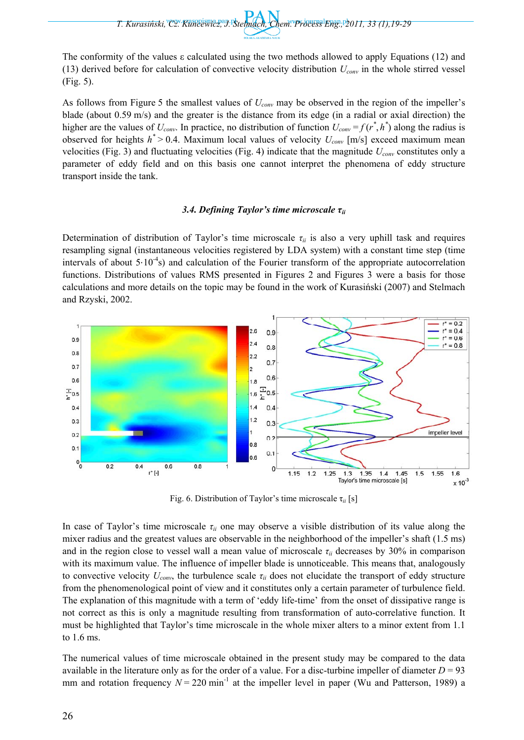*T. Kurasiński, Cz. Kuncewicz, J. Stelmach, Chem. Process Eng., 2011, 33 (1),19-29* 

The conformity of the values ε calculated using the two methods allowed to apply Equations (12) and (13) derived before for calculation of convective velocity distribution *Uconv* in the whole stirred vessel (Fig. 5).

As follows from Figure 5 the smallest values of *Uconv* may be observed in the region of the impeller's blade (about 0.59 m/s) and the greater is the distance from its edge (in a radial or axial direction) the higher are the values of  $U_{conv}$ . In practice, no distribution of function  $U_{conv} = f(r^*, h^*)$  along the radius is observed for heights  $h^*$  > 0.4. Maximum local values of velocity  $U_{conv}$  [m/s] exceed maximum mean velocities (Fig. 3) and fluctuating velocities (Fig. 4) indicate that the magnitude  $U_{conv}$  constitutes only a parameter of eddy field and on this basis one cannot interpret the phenomena of eddy structure transport inside the tank.

#### *3.4. Defining Taylor's time microscale τii*

Determination of distribution of Taylor's time microscale *τii* is also a very uphill task and requires resampling signal (instantaneous velocities registered by LDA system) with a constant time step (time intervals of about  $5.10^{-4}$ s) and calculation of the Fourier transform of the appropriate autocorrelation functions. Distributions of values RMS presented in Figures 2 and Figures 3 were a basis for those calculations and more details on the topic may be found in the work of Kurasiński (2007) and Stelmach and Rzyski, 2002.



Fig. 6. Distribution of Taylor's time microscale τ*ii* [s]

In case of Taylor's time microscale  $\tau_{ii}$  one may observe a visible distribution of its value along the mixer radius and the greatest values are observable in the neighborhood of the impeller's shaft (1.5 ms) and in the region close to vessel wall a mean value of microscale  $\tau_{ii}$  decreases by 30% in comparison with its maximum value. The influence of impeller blade is unnoticeable. This means that, analogously to convective velocity  $U_{conv}$ , the turbulence scale  $\tau_{ii}$  does not elucidate the transport of eddy structure from the phenomenological point of view and it constitutes only a certain parameter of turbulence field. The explanation of this magnitude with a term of 'eddy life-time' from the onset of dissipative range is not correct as this is only a magnitude resulting from transformation of auto-correlative function. It must be highlighted that Taylor's time microscale in the whole mixer alters to a minor extent from 1.1 to 1.6 ms.

The numerical values of time microscale obtained in the present study may be compared to the data available in the literature only as for the order of a value. For a disc-turbine impeller of diameter  $D = 93$ mm and rotation frequency  $N = 220$  min<sup>-1</sup> at the impeller level in paper (Wu and Patterson, 1989) a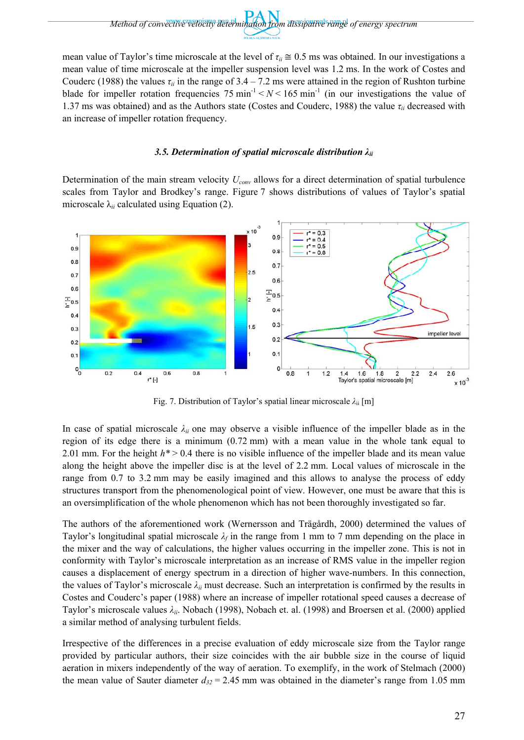mean value of Taylor's time microscale at the level of  $\tau$ <sup>*ii*</sup>  $\approx$  0.5 ms was obtained. In our investigations a mean value of time microscale at the impeller suspension level was 1.2 ms. In the work of Costes and Couderc (1988) the values  $\tau_{ii}$  in the range of 3.4 – 7.2 ms were attained in the region of Rushton turbine blade for impeller rotation frequencies 75 min<sup>-1</sup>  $\lt N \lt 165$  min<sup>-1</sup> (in our investigations the value of 1.37 ms was obtained) and as the Authors state (Costes and Couderc, 1988) the value *τii* decreased with an increase of impeller rotation frequency.

# *3.5. Determination of spatial microscale distribution λii*

Determination of the main stream velocity  $U_{conv}$  allows for a direct determination of spatial turbulence scales from Taylor and Brodkey's range. Figure 7 shows distributions of values of Taylor's spatial microscale  $\lambda_{ii}$  calculated using Equation (2).



Fig. 7. Distribution of Taylor's spatial linear microscale *λ*ii [m]

In case of spatial microscale  $\lambda_{ii}$  one may observe a visible influence of the impeller blade as in the region of its edge there is a minimum (0.72 mm) with a mean value in the whole tank equal to 2.01 mm. For the height *h\** > 0.4 there is no visible influence of the impeller blade and its mean value along the height above the impeller disc is at the level of 2.2 mm. Local values of microscale in the range from 0.7 to 3.2 mm may be easily imagined and this allows to analyse the process of eddy structures transport from the phenomenological point of view. However, one must be aware that this is an oversimplification of the whole phenomenon which has not been thoroughly investigated so far.

The authors of the aforementioned work (Wernersson and Trägårdh, 2000) determined the values of Taylor's longitudinal spatial microscale *λf* in the range from 1 mm to 7 mm depending on the place in the mixer and the way of calculations, the higher values occurring in the impeller zone. This is not in conformity with Taylor's microscale interpretation as an increase of RMS value in the impeller region causes a displacement of energy spectrum in a direction of higher wave-numbers. In this connection, the values of Taylor's microscale *λii* must decrease. Such an interpretation is confirmed by the results in Costes and Couderc's paper (1988) where an increase of impeller rotational speed causes a decrease of Taylor's microscale values *λii*. Nobach (1998), Nobach et. al. (1998) and Broersen et al. (2000) applied a similar method of analysing turbulent fields.

Irrespective of the differences in a precise evaluation of eddy microscale size from the Taylor range provided by particular authors, their size coincides with the air bubble size in the course of liquid aeration in mixers independently of the way of aeration. To exemplify, in the work of Stelmach (2000) the mean value of Sauter diameter  $d_{32} = 2.45$  mm was obtained in the diameter's range from 1.05 mm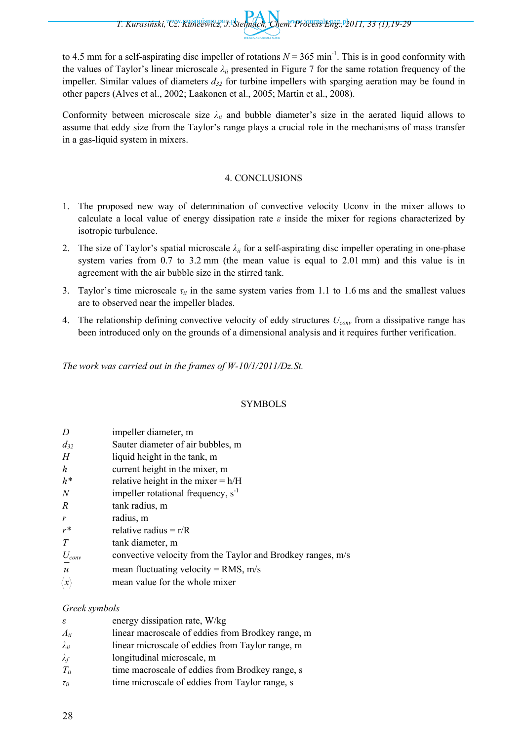to 4.5 mm for a self-aspirating disc impeller of rotations  $N = 365$  min<sup>-1</sup>. This is in good conformity with the values of Taylor's linear microscale *λii* presented in Figure 7 for the same rotation frequency of the impeller. Similar values of diameters  $d_{32}$  for turbine impellers with sparging aeration may be found in other papers (Alves et al., 2002; Laakonen et al., 2005; Martin et al., 2008).

Conformity between microscale size  $\lambda_{ii}$  and bubble diameter's size in the aerated liquid allows to assume that eddy size from the Taylor's range plays a crucial role in the mechanisms of mass transfer in a gas-liquid system in mixers.

# 4. CONCLUSIONS

- 1. The proposed new way of determination of convective velocity Uconv in the mixer allows to calculate a local value of energy dissipation rate  $\varepsilon$  inside the mixer for regions characterized by isotropic turbulence.
- 2. The size of Taylor's spatial microscale *λii* for a self-aspirating disc impeller operating in one-phase system varies from 0.7 to 3.2 mm (the mean value is equal to 2.01 mm) and this value is in agreement with the air bubble size in the stirred tank.
- 3. Taylor's time microscale  $\tau_{ii}$  in the same system varies from 1.1 to 1.6 ms and the smallest values are to observed near the impeller blades.
- 4. The relationship defining convective velocity of eddy structures *Uconv* from a dissipative range has been introduced only on the grounds of a dimensional analysis and it requires further verification.

*The work was carried out in the frames of W-10/1/2011/Dz.St.* 

# SYMBOLS

| D                 | impeller diameter, m                                        |
|-------------------|-------------------------------------------------------------|
| $d_{32}$          | Sauter diameter of air bubbles, m                           |
| H                 | liquid height in the tank, m                                |
| h                 | current height in the mixer, m                              |
| $h^*$             | relative height in the mixer $= h/H$                        |
| $\overline{N}$    | impeller rotational frequency, $s^{-1}$                     |
| R                 | tank radius, m                                              |
| r                 | radius, m                                                   |
| $r^*$             | relative radius = $r/R$                                     |
| T                 | tank diameter, m                                            |
| $U_{\text{conv}}$ | convective velocity from the Taylor and Brodkey ranges, m/s |
| $\boldsymbol{u}$  | mean fluctuating velocity = $RMS$ , m/s                     |
| (x)               | mean value for the whole mixer                              |

## *Greek symbols*

| ε              | energy dissipation rate, W/kg                     |
|----------------|---------------------------------------------------|
| $\Lambda_{ii}$ | linear macroscale of eddies from Brodkey range, m |
| $\lambda_{ii}$ | linear microscale of eddies from Taylor range, m  |
| $\lambda_f$    | longitudinal microscale, m                        |
| $T_{ii}$       | time macroscale of eddies from Brodkey range, s   |
| $\tau_{ii}$    | time microscale of eddies from Taylor range, s    |